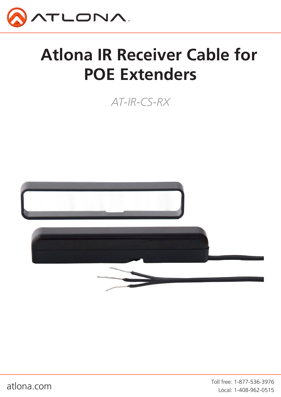

# **Atlona IR Receiver Cable for POE Extenders**

*AT-IR-CS-RX*